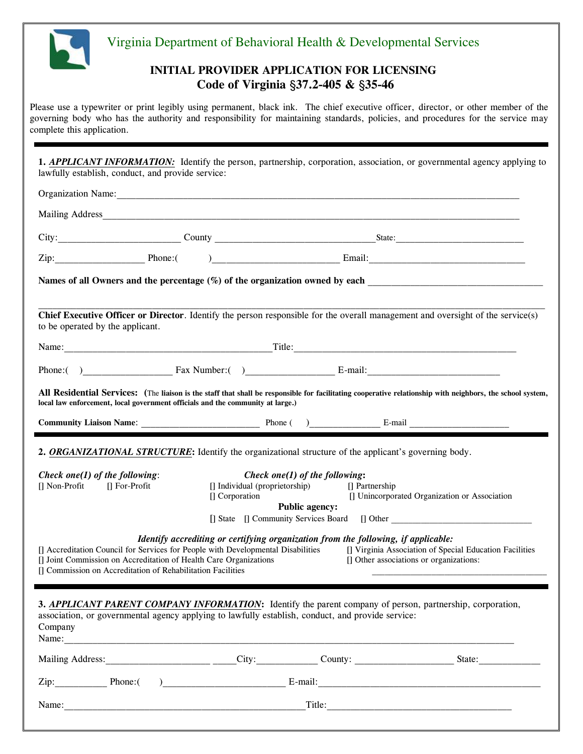

# Virginia Department of Behavioral Health & Developmental Services

## **INITIAL PROVIDER APPLICATION FOR LICENSING Code of Virginia** §**37.2-405 &** §**35-46**

Please use a typewriter or print legibly using permanent, black ink. The chief executive officer, director, or other member of the governing body who has the authority and responsibility for maintaining standards, policies, and procedures for the service may complete this application.

**1.** *APPLICANT INFORMATION*: Identify the person, partnership, corporation, association, or governmental agency applying to lawfully establish, conduct, and provide service:

| Organization Name: 2008 and 2008 and 2008 and 2008 and 2008 and 2008 and 2008 and 2008 and 2008 and 2008 and 2008 and 2008 and 2008 and 2008 and 2008 and 2008 and 2008 and 2008 and 2008 and 2008 and 2008 and 2008 and 2008                |                                                                                    |                                                                                           |                                         |                                                                                                |
|----------------------------------------------------------------------------------------------------------------------------------------------------------------------------------------------------------------------------------------------|------------------------------------------------------------------------------------|-------------------------------------------------------------------------------------------|-----------------------------------------|------------------------------------------------------------------------------------------------|
|                                                                                                                                                                                                                                              |                                                                                    |                                                                                           |                                         |                                                                                                |
|                                                                                                                                                                                                                                              |                                                                                    |                                                                                           |                                         |                                                                                                |
|                                                                                                                                                                                                                                              |                                                                                    |                                                                                           |                                         |                                                                                                |
| Names of all Owners and the percentage (%) of the organization owned by each example of all Owners and the percentage (%) of the organization owned by each                                                                                  |                                                                                    |                                                                                           |                                         |                                                                                                |
| Chief Executive Officer or Director. Identify the person responsible for the overall management and oversight of the service(s)<br>to be operated by the applicant.                                                                          |                                                                                    |                                                                                           |                                         |                                                                                                |
|                                                                                                                                                                                                                                              |                                                                                    |                                                                                           |                                         |                                                                                                |
|                                                                                                                                                                                                                                              |                                                                                    |                                                                                           |                                         |                                                                                                |
| All Residential Services: (The liaison is the staff that shall be responsible for facilitating cooperative relationship with neighbors, the school system,<br>local law enforcement, local government officials and the community at large.) |                                                                                    |                                                                                           |                                         |                                                                                                |
|                                                                                                                                                                                                                                              |                                                                                    |                                                                                           |                                         |                                                                                                |
| 2. ORGANIZATIONAL STRUCTURE: Identify the organizational structure of the applicant's governing body.<br>Check one(1) of the following:<br>[] Non-Profit [] For-Profit                                                                       | [] Corporation                                                                     | Check one(1) of the following:<br>[] Individual (proprietorship)<br><b>Public agency:</b> | [] Partnership                          | [] Unincorporated Organization or Association<br>[] State [] Community Services Board [] Other |
| [] Accreditation Council for Services for People with Developmental Disabilities<br>[] Joint Commission on Accreditation of Health Care Organizations<br>[] Commission on Accreditation of Rehabilitation Facilities                         | Identify accrediting or certifying organization from the following, if applicable: |                                                                                           | [] Other associations or organizations: | [] Virginia Association of Special Education Facilities                                        |
| 3. APPLICANT PARENT COMPANY INFORMATION: Identify the parent company of person, partnership, corporation,<br>association, or governmental agency applying to lawfully establish, conduct, and provide service:<br>Company                    |                                                                                    |                                                                                           |                                         |                                                                                                |
|                                                                                                                                                                                                                                              |                                                                                    |                                                                                           |                                         |                                                                                                |
| Zip: Phone: () Phone: E-mail: E-mail:                                                                                                                                                                                                        |                                                                                    |                                                                                           |                                         |                                                                                                |
|                                                                                                                                                                                                                                              |                                                                                    |                                                                                           |                                         | Title:                                                                                         |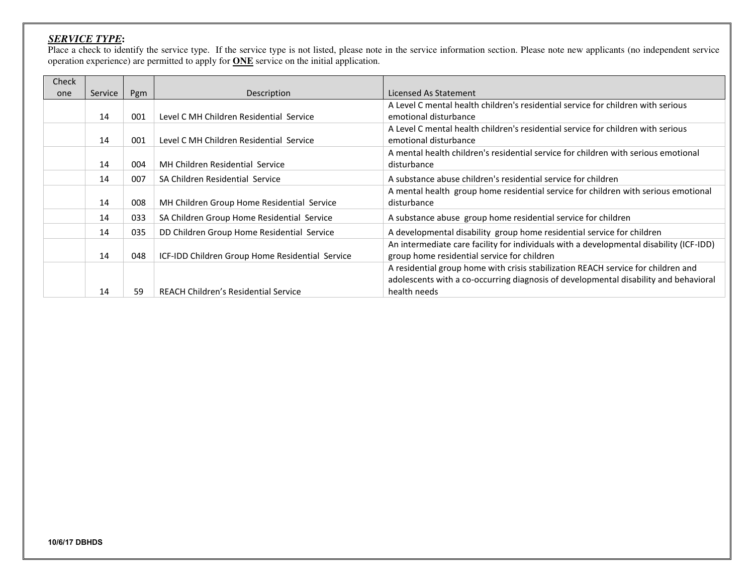## *SERVICE TYPE***:**

Place a check to identify the service type. If the service type is not listed, please note in the service information section. Please note new applicants (no independent service operation experience) are permitted to apply for **ONE** service on the initial application.

| Check |         |     |                                                 |                                                                                         |  |
|-------|---------|-----|-------------------------------------------------|-----------------------------------------------------------------------------------------|--|
| one   | Service | Pgm | Description                                     | Licensed As Statement                                                                   |  |
|       |         |     |                                                 | A Level C mental health children's residential service for children with serious        |  |
|       | 14      | 001 | Level C MH Children Residential Service         | emotional disturbance                                                                   |  |
|       |         |     |                                                 | A Level C mental health children's residential service for children with serious        |  |
|       | 14      | 001 | Level C MH Children Residential Service         | emotional disturbance                                                                   |  |
|       |         |     |                                                 | A mental health children's residential service for children with serious emotional      |  |
|       | 14      | 004 | MH Children Residential Service                 | disturbance                                                                             |  |
|       | 14      | 007 | SA Children Residential Service                 | A substance abuse children's residential service for children                           |  |
|       |         |     |                                                 | A mental health group home residential service for children with serious emotional      |  |
|       | 14      | 008 | MH Children Group Home Residential Service      | disturbance                                                                             |  |
|       | 14      | 033 | SA Children Group Home Residential Service      | A substance abuse group home residential service for children                           |  |
|       | 14      | 035 | DD Children Group Home Residential Service      | A developmental disability group home residential service for children                  |  |
|       |         |     |                                                 | An intermediate care facility for individuals with a developmental disability (ICF-IDD) |  |
|       | 14      | 048 | ICF-IDD Children Group Home Residential Service | group home residential service for children                                             |  |
|       |         |     |                                                 | A residential group home with crisis stabilization REACH service for children and       |  |
|       |         |     |                                                 | adolescents with a co-occurring diagnosis of developmental disability and behavioral    |  |
|       | 14      | 59  | REACH Children's Residential Service            | health needs                                                                            |  |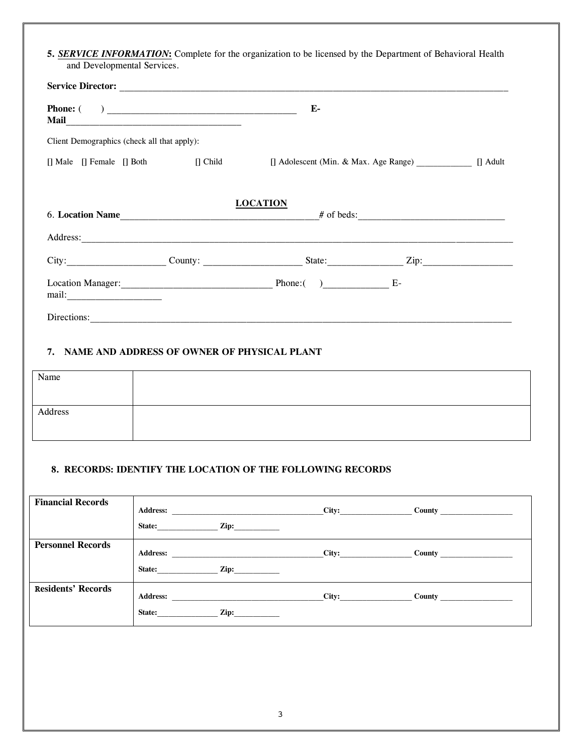**5.** *SERVICE INFORMATION***:** Complete for the organization to be licensed by the Department of Behavioral Health and Developmental Services.

| <b>Service Director: Contracts</b>                                                                                                                     |                                                |  |
|--------------------------------------------------------------------------------------------------------------------------------------------------------|------------------------------------------------|--|
|                                                                                                                                                        | Е-                                             |  |
| Client Demographics (check all that apply):                                                                                                            |                                                |  |
| $\begin{bmatrix} \end{bmatrix}$ Male $\begin{bmatrix} \end{bmatrix}$ Female $\begin{bmatrix} \end{bmatrix}$ Both $\begin{bmatrix} \end{bmatrix}$ Child | [] Adolescent (Min. & Max. Age Range) [] Adult |  |
|                                                                                                                                                        | <b>LOCATION</b><br>6. Location Name # of beds: |  |
|                                                                                                                                                        | City: County: County: State: Zip:              |  |
|                                                                                                                                                        | Phone: $($ ) E-                                |  |
| Directions:                                                                                                                                            |                                                |  |

## **7. NAME AND ADDRESS OF OWNER OF PHYSICAL PLANT**

| Name    |  |
|---------|--|
|         |  |
| Address |  |
|         |  |

### **8. RECORDS: IDENTIFY THE LOCATION OF THE FOLLOWING RECORDS**

| <b>Financial Records</b>  | <b>Address:</b><br>Zip:<br>State: | City: |                                 |
|---------------------------|-----------------------------------|-------|---------------------------------|
| <b>Personnel Records</b>  | <b>Address:</b><br>Zip:<br>State: | City: | County $\overline{\phantom{a}}$ |
| <b>Residents' Records</b> | <b>Address:</b><br>Zip:<br>State: | City: |                                 |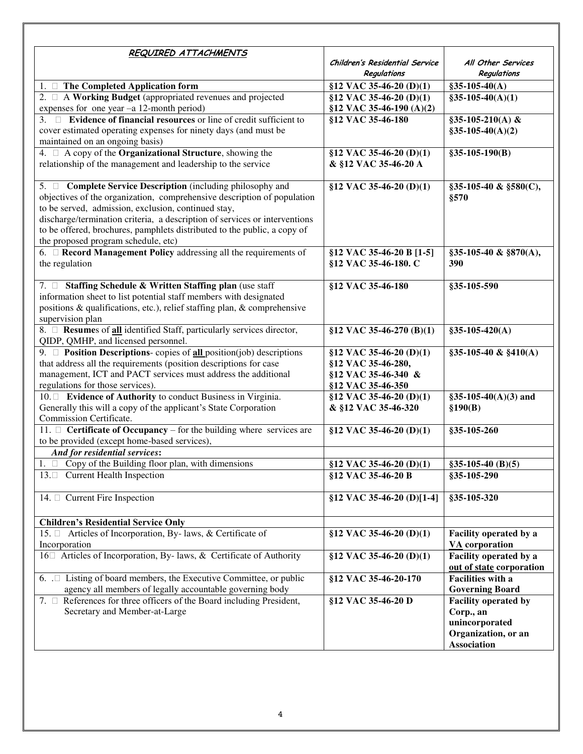| REQUIRED ATTACHMENTS                                                                                                                                                                                                                                                                                                                                                                                  |                                                                                           |                                                                                                         |
|-------------------------------------------------------------------------------------------------------------------------------------------------------------------------------------------------------------------------------------------------------------------------------------------------------------------------------------------------------------------------------------------------------|-------------------------------------------------------------------------------------------|---------------------------------------------------------------------------------------------------------|
|                                                                                                                                                                                                                                                                                                                                                                                                       | Children's Residential Service<br>Regulations                                             | All Other Services<br>Regulations                                                                       |
| 1. $\Box$ The Completed Application form                                                                                                                                                                                                                                                                                                                                                              | §12 VAC 35-46-20 (D)(1)                                                                   | $§35-105-40(A)$                                                                                         |
| 2. $\Box$ A Working Budget (appropriated revenues and projected<br>expenses for one year -a 12-month period)                                                                                                                                                                                                                                                                                          | §12 VAC 35-46-20 (D)(1)<br>§12 VAC 35-46-190 (A)(2)                                       | $§35-105-40(A)(1)$                                                                                      |
| 3. $\Box$ Evidence of financial resources or line of credit sufficient to<br>cover estimated operating expenses for ninety days (and must be<br>maintained on an ongoing basis)                                                                                                                                                                                                                       | §12 VAC 35-46-180                                                                         | §35-105-210(A) &<br>$§35-105-40(A)(2)$                                                                  |
| 4. $\Box$ A copy of the <b>Organizational Structure</b> , showing the<br>relationship of the management and leadership to the service                                                                                                                                                                                                                                                                 | $$12$ VAC 35-46-20 (D)(1)<br>& §12 VAC 35-46-20 A                                         | $§35-105-190(B)$                                                                                        |
| 5. <b>D</b> Complete Service Description (including philosophy and<br>objectives of the organization, comprehensive description of population<br>to be served, admission, exclusion, continued stay,<br>discharge/termination criteria, a description of services or interventions<br>to be offered, brochures, pamphlets distributed to the public, a copy of<br>the proposed program schedule, etc) | §12 VAC 35-46-20 (D)(1)                                                                   | $§35-105-40 \& \$580(C),$<br>\$570                                                                      |
| 6. $\Box$ Record Management Policy addressing all the requirements of<br>the regulation                                                                                                                                                                                                                                                                                                               | §12 VAC 35-46-20 B [1-5]<br>§12 VAC 35-46-180. C                                          | §35-105-40 & §870(A),<br>390                                                                            |
| 7. Staffing Schedule & Written Staffing plan (use staff<br>information sheet to list potential staff members with designated<br>positions & qualifications, etc.), relief staffing plan, & comprehensive<br>supervision plan                                                                                                                                                                          | §12 VAC 35-46-180                                                                         | §35-105-590                                                                                             |
| 8. □ Resumes of all identified Staff, particularly services director,<br>QIDP, QMHP, and licensed personnel.                                                                                                                                                                                                                                                                                          | §12 VAC 35-46-270 (B)(1)                                                                  | $§35-105-420(A)$                                                                                        |
| 9. $\Box$ <b>Position Descriptions-</b> copies of <b>all</b> position(job) descriptions<br>that address all the requirements (position descriptions for case<br>management, ICT and PACT services must address the additional<br>regulations for those services).                                                                                                                                     | §12 VAC 35-46-20 (D)(1)<br>§12 VAC 35-46-280,<br>§12 VAC 35-46-340 &<br>§12 VAC 35-46-350 | §35-105-40 & §410(A)                                                                                    |
| 10. Evidence of Authority to conduct Business in Virginia.<br>Generally this will a copy of the applicant's State Corporation<br>Commission Certificate.                                                                                                                                                                                                                                              | §12 VAC 35-46-20 (D)(1)<br>& §12 VAC 35-46-320                                            | $$35-105-40(A)(3)$ and<br>\$190(B)                                                                      |
| 11. $\Box$ <b>Certificate of Occupancy</b> – for the building where services are<br>to be provided (except home-based services),                                                                                                                                                                                                                                                                      | §12 VAC 35-46-20 (D)(1)                                                                   | §35-105-260                                                                                             |
| And for residential services:                                                                                                                                                                                                                                                                                                                                                                         |                                                                                           |                                                                                                         |
| 1. $\Box$ Copy of the Building floor plan, with dimensions<br>13. Current Health Inspection                                                                                                                                                                                                                                                                                                           | §12 VAC 35-46-20 (D)(1)<br>§12 VAC 35-46-20 B                                             | $$35-105-40$ (B)(5)<br>\$35-105-290                                                                     |
| 14. Current Fire Inspection                                                                                                                                                                                                                                                                                                                                                                           | $$12$ VAC 35-46-20 (D)[1-4]                                                               | §35-105-320                                                                                             |
| <b>Children's Residential Service Only</b>                                                                                                                                                                                                                                                                                                                                                            |                                                                                           |                                                                                                         |
| 15. $\Box$ Articles of Incorporation, By- laws, & Certificate of<br>Incorporation                                                                                                                                                                                                                                                                                                                     | §12 VAC 35-46-20 (D)(1)                                                                   | Facility operated by a<br><b>VA</b> corporation                                                         |
| $16\Box$ Articles of Incorporation, By- laws, & Certificate of Authority                                                                                                                                                                                                                                                                                                                              | §12 VAC 35-46-20 (D)(1)                                                                   | Facility operated by a<br>out of state corporation                                                      |
| 6. $\Box$ Listing of board members, the Executive Committee, or public<br>agency all members of legally accountable governing body                                                                                                                                                                                                                                                                    | §12 VAC 35-46-20-170                                                                      | <b>Facilities with a</b><br><b>Governing Board</b>                                                      |
| 7. $\Box$ References for three officers of the Board including President,<br>Secretary and Member-at-Large                                                                                                                                                                                                                                                                                            | §12 VAC 35-46-20 D                                                                        | <b>Facility operated by</b><br>Corp., an<br>unincorporated<br>Organization, or an<br><b>Association</b> |